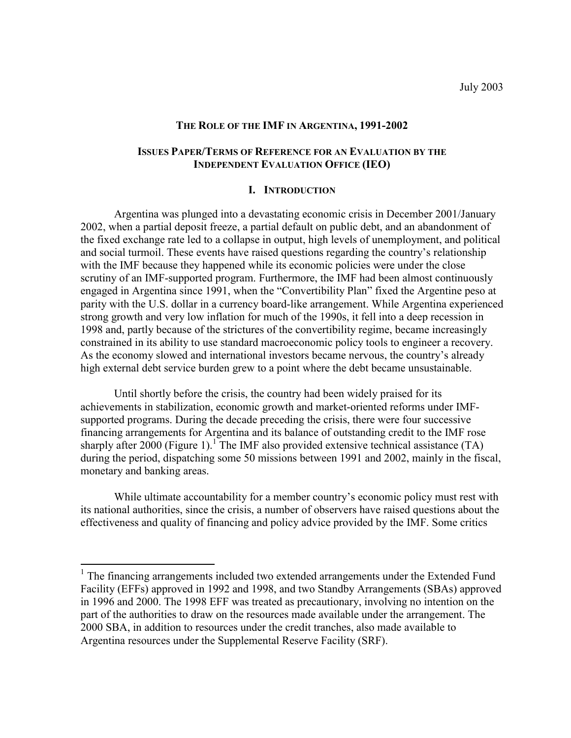# **THE ROLE OF THE IMF IN ARGENTINA, 1991-2002**

# **ISSUES PAPER/TERMS OF REFERENCE FOR AN EVALUATION BY THE INDEPENDENT EVALUATION OFFICE (IEO)**

#### **I. INTRODUCTION**

 Argentina was plunged into a devastating economic crisis in December 2001/January 2002, when a partial deposit freeze, a partial default on public debt, and an abandonment of the fixed exchange rate led to a collapse in output, high levels of unemployment, and political and social turmoil. These events have raised questions regarding the country's relationship with the IMF because they happened while its economic policies were under the close scrutiny of an IMF-supported program. Furthermore, the IMF had been almost continuously engaged in Argentina since 1991, when the "Convertibility Plan" fixed the Argentine peso at parity with the U.S. dollar in a currency board-like arrangement. While Argentina experienced strong growth and very low inflation for much of the 1990s, it fell into a deep recession in 1998 and, partly because of the strictures of the convertibility regime, became increasingly constrained in its ability to use standard macroeconomic policy tools to engineer a recovery. As the economy slowed and international investors became nervous, the country's already high external debt service burden grew to a point where the debt became unsustainable.

 Until shortly before the crisis, the country had been widely praised for its achievements in stabilization, economic growth and market-oriented reforms under IMFsupported programs. During the decade preceding the crisis, there were four successive financing arrangements for Argentina and its balance of outstanding credit to the IMF rose sharply after 2000 (Figure 1).<sup>1</sup> The IMF also provided extensive technical assistance (TA) during the period, dispatching some 50 missions between 1991 and 2002, mainly in the fiscal, monetary and banking areas.

While ultimate accountability for a member country's economic policy must rest with its national authorities, since the crisis, a number of observers have raised questions about the effectiveness and quality of financing and policy advice provided by the IMF. Some critics

 $\overline{a}$ 

<sup>&</sup>lt;sup>1</sup> The financing arrangements included two extended arrangements under the Extended Fund Facility (EFFs) approved in 1992 and 1998, and two Standby Arrangements (SBAs) approved in 1996 and 2000. The 1998 EFF was treated as precautionary, involving no intention on the part of the authorities to draw on the resources made available under the arrangement. The 2000 SBA, in addition to resources under the credit tranches, also made available to Argentina resources under the Supplemental Reserve Facility (SRF).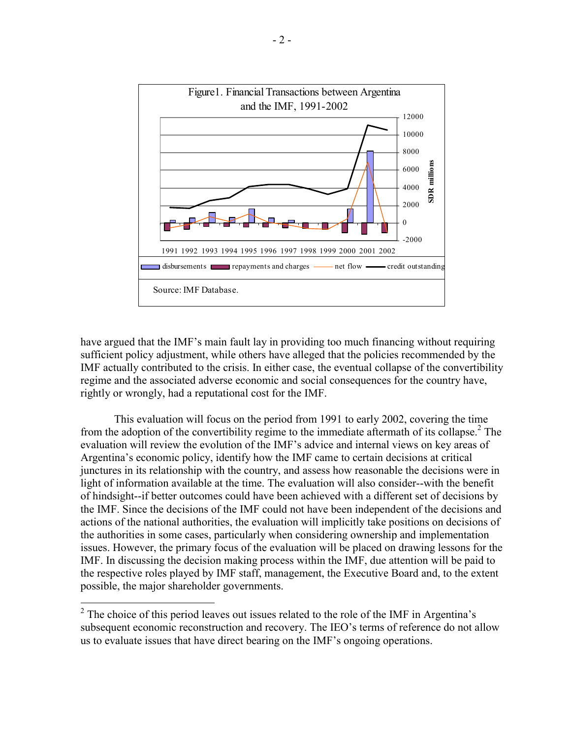

have argued that the IMF's main fault lay in providing too much financing without requiring sufficient policy adjustment, while others have alleged that the policies recommended by the IMF actually contributed to the crisis. In either case, the eventual collapse of the convertibility regime and the associated adverse economic and social consequences for the country have, rightly or wrongly, had a reputational cost for the IMF.

 This evaluation will focus on the period from 1991 to early 2002, covering the time from the adoption of the convertibility regime to the immediate aftermath of its collapse.<sup>2</sup> The evaluation will review the evolution of the IMF's advice and internal views on key areas of Argentina's economic policy, identify how the IMF came to certain decisions at critical junctures in its relationship with the country, and assess how reasonable the decisions were in light of information available at the time. The evaluation will also consider--with the benefit of hindsight--if better outcomes could have been achieved with a different set of decisions by the IMF. Since the decisions of the IMF could not have been independent of the decisions and actions of the national authorities, the evaluation will implicitly take positions on decisions of the authorities in some cases, particularly when considering ownership and implementation issues. However, the primary focus of the evaluation will be placed on drawing lessons for the IMF. In discussing the decision making process within the IMF, due attention will be paid to the respective roles played by IMF staff, management, the Executive Board and, to the extent possible, the major shareholder governments.

 $\overline{a}$ 

 $2^2$  The choice of this period leaves out issues related to the role of the IMF in Argentina's subsequent economic reconstruction and recovery. The IEO's terms of reference do not allow us to evaluate issues that have direct bearing on the IMF's ongoing operations.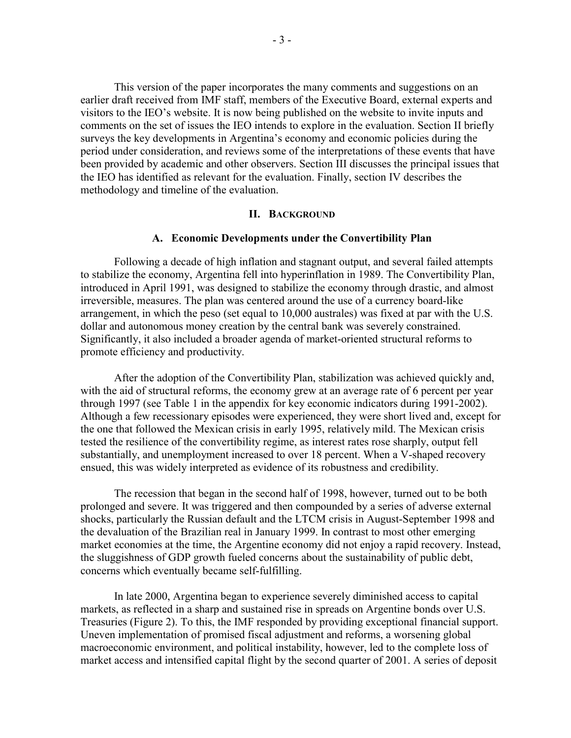This version of the paper incorporates the many comments and suggestions on an earlier draft received from IMF staff, members of the Executive Board, external experts and visitors to the IEO's website. It is now being published on the website to invite inputs and comments on the set of issues the IEO intends to explore in the evaluation. Section II briefly surveys the key developments in Argentina's economy and economic policies during the period under consideration, and reviews some of the interpretations of these events that have been provided by academic and other observers. Section III discusses the principal issues that the IEO has identified as relevant for the evaluation. Finally, section IV describes the methodology and timeline of the evaluation.

## **II. BACKGROUND**

#### **A. Economic Developments under the Convertibility Plan**

 Following a decade of high inflation and stagnant output, and several failed attempts to stabilize the economy, Argentina fell into hyperinflation in 1989. The Convertibility Plan, introduced in April 1991, was designed to stabilize the economy through drastic, and almost irreversible, measures. The plan was centered around the use of a currency board-like arrangement, in which the peso (set equal to 10,000 australes) was fixed at par with the U.S. dollar and autonomous money creation by the central bank was severely constrained. Significantly, it also included a broader agenda of market-oriented structural reforms to promote efficiency and productivity.

 After the adoption of the Convertibility Plan, stabilization was achieved quickly and, with the aid of structural reforms, the economy grew at an average rate of 6 percent per year through 1997 (see Table 1 in the appendix for key economic indicators during 1991-2002). Although a few recessionary episodes were experienced, they were short lived and, except for the one that followed the Mexican crisis in early 1995, relatively mild. The Mexican crisis tested the resilience of the convertibility regime, as interest rates rose sharply, output fell substantially, and unemployment increased to over 18 percent. When a V-shaped recovery ensued, this was widely interpreted as evidence of its robustness and credibility.

 The recession that began in the second half of 1998, however, turned out to be both prolonged and severe. It was triggered and then compounded by a series of adverse external shocks, particularly the Russian default and the LTCM crisis in August-September 1998 and the devaluation of the Brazilian real in January 1999. In contrast to most other emerging market economies at the time, the Argentine economy did not enjoy a rapid recovery. Instead, the sluggishness of GDP growth fueled concerns about the sustainability of public debt, concerns which eventually became self-fulfilling.

 In late 2000, Argentina began to experience severely diminished access to capital markets, as reflected in a sharp and sustained rise in spreads on Argentine bonds over U.S. Treasuries (Figure 2). To this, the IMF responded by providing exceptional financial support. Uneven implementation of promised fiscal adjustment and reforms, a worsening global macroeconomic environment, and political instability, however, led to the complete loss of market access and intensified capital flight by the second quarter of 2001. A series of deposit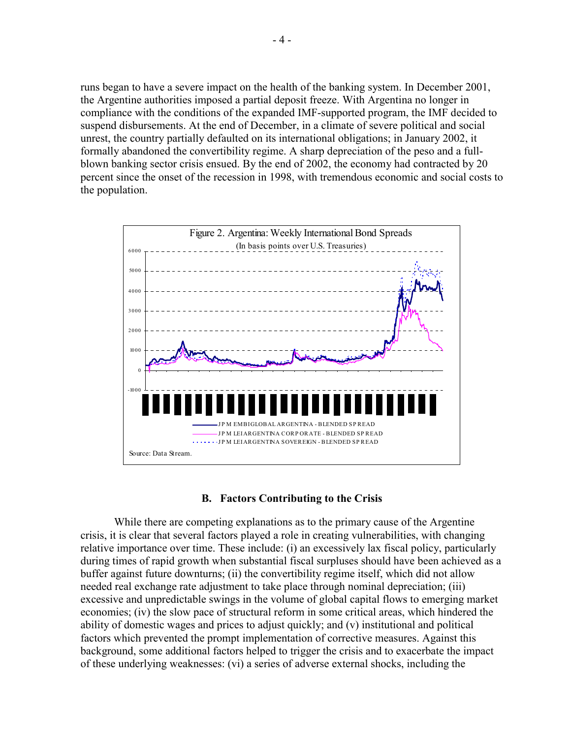runs began to have a severe impact on the health of the banking system. In December 2001, the Argentine authorities imposed a partial deposit freeze. With Argentina no longer in compliance with the conditions of the expanded IMF-supported program, the IMF decided to suspend disbursements. At the end of December, in a climate of severe political and social unrest, the country partially defaulted on its international obligations; in January 2002, it formally abandoned the convertibility regime. A sharp depreciation of the peso and a fullblown banking sector crisis ensued. By the end of 2002, the economy had contracted by 20 percent since the onset of the recession in 1998, with tremendous economic and social costs to the population.



# **B. Factors Contributing to the Crisis**

 While there are competing explanations as to the primary cause of the Argentine crisis, it is clear that several factors played a role in creating vulnerabilities, with changing relative importance over time. These include: (i) an excessively lax fiscal policy, particularly during times of rapid growth when substantial fiscal surpluses should have been achieved as a buffer against future downturns; (ii) the convertibility regime itself, which did not allow needed real exchange rate adjustment to take place through nominal depreciation; (iii) excessive and unpredictable swings in the volume of global capital flows to emerging market economies; (iv) the slow pace of structural reform in some critical areas, which hindered the ability of domestic wages and prices to adjust quickly; and (v) institutional and political factors which prevented the prompt implementation of corrective measures. Against this background, some additional factors helped to trigger the crisis and to exacerbate the impact of these underlying weaknesses: (vi) a series of adverse external shocks, including the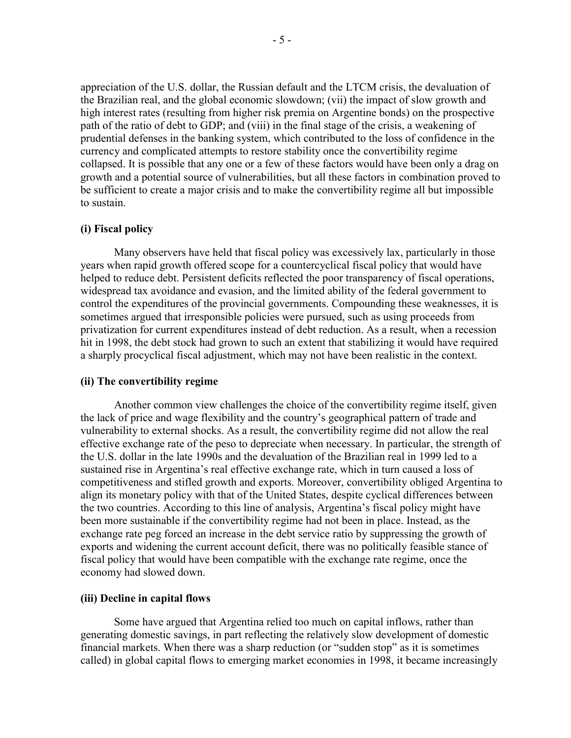appreciation of the U.S. dollar, the Russian default and the LTCM crisis, the devaluation of the Brazilian real, and the global economic slowdown; (vii) the impact of slow growth and high interest rates (resulting from higher risk premia on Argentine bonds) on the prospective path of the ratio of debt to GDP; and (viii) in the final stage of the crisis, a weakening of prudential defenses in the banking system, which contributed to the loss of confidence in the currency and complicated attempts to restore stability once the convertibility regime collapsed. It is possible that any one or a few of these factors would have been only a drag on growth and a potential source of vulnerabilities, but all these factors in combination proved to be sufficient to create a major crisis and to make the convertibility regime all but impossible to sustain.

# **(i) Fiscal policy**

 Many observers have held that fiscal policy was excessively lax, particularly in those years when rapid growth offered scope for a countercyclical fiscal policy that would have helped to reduce debt. Persistent deficits reflected the poor transparency of fiscal operations, widespread tax avoidance and evasion, and the limited ability of the federal government to control the expenditures of the provincial governments. Compounding these weaknesses, it is sometimes argued that irresponsible policies were pursued, such as using proceeds from privatization for current expenditures instead of debt reduction. As a result, when a recession hit in 1998, the debt stock had grown to such an extent that stabilizing it would have required a sharply procyclical fiscal adjustment, which may not have been realistic in the context.

## **(ii) The convertibility regime**

 Another common view challenges the choice of the convertibility regime itself, given the lack of price and wage flexibility and the country's geographical pattern of trade and vulnerability to external shocks. As a result, the convertibility regime did not allow the real effective exchange rate of the peso to depreciate when necessary. In particular, the strength of the U.S. dollar in the late 1990s and the devaluation of the Brazilian real in 1999 led to a sustained rise in Argentina's real effective exchange rate, which in turn caused a loss of competitiveness and stifled growth and exports. Moreover, convertibility obliged Argentina to align its monetary policy with that of the United States, despite cyclical differences between the two countries. According to this line of analysis, Argentina's fiscal policy might have been more sustainable if the convertibility regime had not been in place. Instead, as the exchange rate peg forced an increase in the debt service ratio by suppressing the growth of exports and widening the current account deficit, there was no politically feasible stance of fiscal policy that would have been compatible with the exchange rate regime, once the economy had slowed down.

#### **(iii) Decline in capital flows**

 Some have argued that Argentina relied too much on capital inflows, rather than generating domestic savings, in part reflecting the relatively slow development of domestic financial markets. When there was a sharp reduction (or "sudden stop" as it is sometimes called) in global capital flows to emerging market economies in 1998, it became increasingly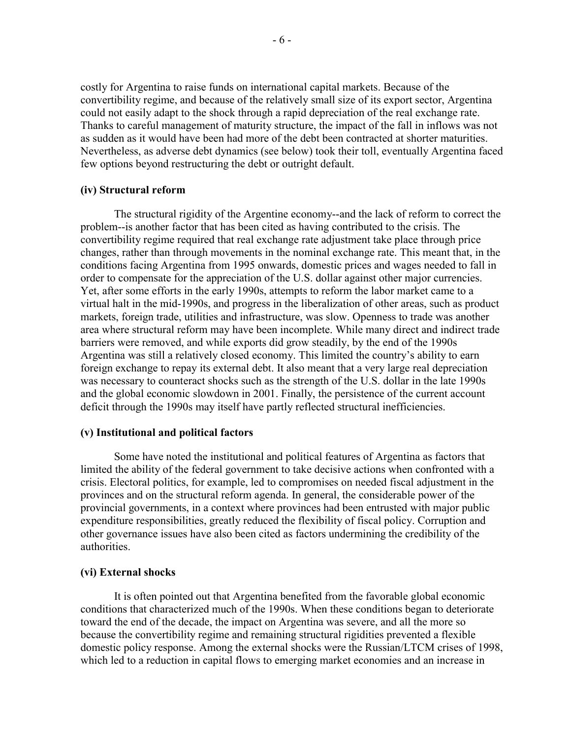costly for Argentina to raise funds on international capital markets. Because of the convertibility regime, and because of the relatively small size of its export sector, Argentina could not easily adapt to the shock through a rapid depreciation of the real exchange rate. Thanks to careful management of maturity structure, the impact of the fall in inflows was not as sudden as it would have been had more of the debt been contracted at shorter maturities. Nevertheless, as adverse debt dynamics (see below) took their toll, eventually Argentina faced few options beyond restructuring the debt or outright default.

## **(iv) Structural reform**

The structural rigidity of the Argentine economy--and the lack of reform to correct the problem--is another factor that has been cited as having contributed to the crisis. The convertibility regime required that real exchange rate adjustment take place through price changes, rather than through movements in the nominal exchange rate. This meant that, in the conditions facing Argentina from 1995 onwards, domestic prices and wages needed to fall in order to compensate for the appreciation of the U.S. dollar against other major currencies. Yet, after some efforts in the early 1990s, attempts to reform the labor market came to a virtual halt in the mid-1990s, and progress in the liberalization of other areas, such as product markets, foreign trade, utilities and infrastructure, was slow. Openness to trade was another area where structural reform may have been incomplete. While many direct and indirect trade barriers were removed, and while exports did grow steadily, by the end of the 1990s Argentina was still a relatively closed economy. This limited the country's ability to earn foreign exchange to repay its external debt. It also meant that a very large real depreciation was necessary to counteract shocks such as the strength of the U.S. dollar in the late 1990s and the global economic slowdown in 2001. Finally, the persistence of the current account deficit through the 1990s may itself have partly reflected structural inefficiencies.

#### **(v) Institutional and political factors**

 Some have noted the institutional and political features of Argentina as factors that limited the ability of the federal government to take decisive actions when confronted with a crisis. Electoral politics, for example, led to compromises on needed fiscal adjustment in the provinces and on the structural reform agenda. In general, the considerable power of the provincial governments, in a context where provinces had been entrusted with major public expenditure responsibilities, greatly reduced the flexibility of fiscal policy. Corruption and other governance issues have also been cited as factors undermining the credibility of the authorities.

#### **(vi) External shocks**

 It is often pointed out that Argentina benefited from the favorable global economic conditions that characterized much of the 1990s. When these conditions began to deteriorate toward the end of the decade, the impact on Argentina was severe, and all the more so because the convertibility regime and remaining structural rigidities prevented a flexible domestic policy response. Among the external shocks were the Russian/LTCM crises of 1998, which led to a reduction in capital flows to emerging market economies and an increase in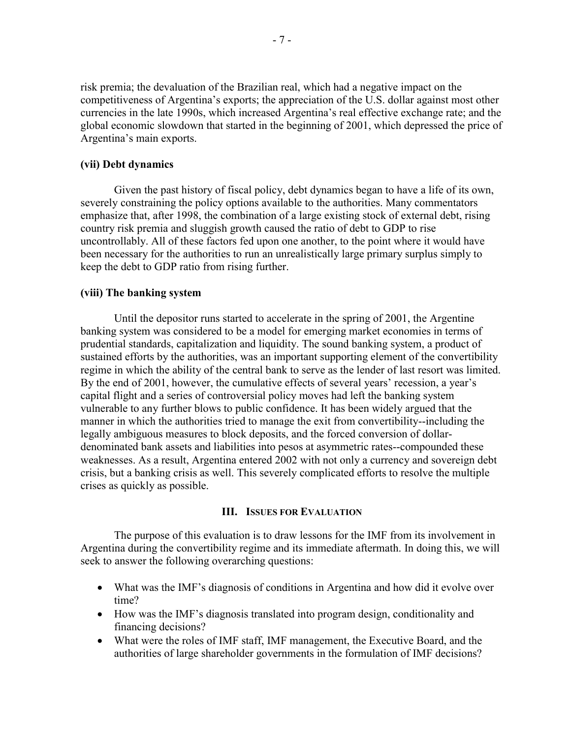risk premia; the devaluation of the Brazilian real, which had a negative impact on the competitiveness of Argentina's exports; the appreciation of the U.S. dollar against most other currencies in the late 1990s, which increased Argentina's real effective exchange rate; and the global economic slowdown that started in the beginning of 2001, which depressed the price of Argentina's main exports.

# **(vii) Debt dynamics**

Given the past history of fiscal policy, debt dynamics began to have a life of its own, severely constraining the policy options available to the authorities. Many commentators emphasize that, after 1998, the combination of a large existing stock of external debt, rising country risk premia and sluggish growth caused the ratio of debt to GDP to rise uncontrollably. All of these factors fed upon one another, to the point where it would have been necessary for the authorities to run an unrealistically large primary surplus simply to keep the debt to GDP ratio from rising further.

# **(viii) The banking system**

 Until the depositor runs started to accelerate in the spring of 2001, the Argentine banking system was considered to be a model for emerging market economies in terms of prudential standards, capitalization and liquidity. The sound banking system, a product of sustained efforts by the authorities, was an important supporting element of the convertibility regime in which the ability of the central bank to serve as the lender of last resort was limited. By the end of 2001, however, the cumulative effects of several years' recession, a year's capital flight and a series of controversial policy moves had left the banking system vulnerable to any further blows to public confidence. It has been widely argued that the manner in which the authorities tried to manage the exit from convertibility--including the legally ambiguous measures to block deposits, and the forced conversion of dollardenominated bank assets and liabilities into pesos at asymmetric rates--compounded these weaknesses. As a result, Argentina entered 2002 with not only a currency and sovereign debt crisis, but a banking crisis as well. This severely complicated efforts to resolve the multiple crises as quickly as possible.

# **III. ISSUES FOR EVALUATION**

 The purpose of this evaluation is to draw lessons for the IMF from its involvement in Argentina during the convertibility regime and its immediate aftermath. In doing this, we will seek to answer the following overarching questions:

- What was the IMF's diagnosis of conditions in Argentina and how did it evolve over time?
- How was the IMF's diagnosis translated into program design, conditionality and financing decisions?
- What were the roles of IMF staff, IMF management, the Executive Board, and the authorities of large shareholder governments in the formulation of IMF decisions?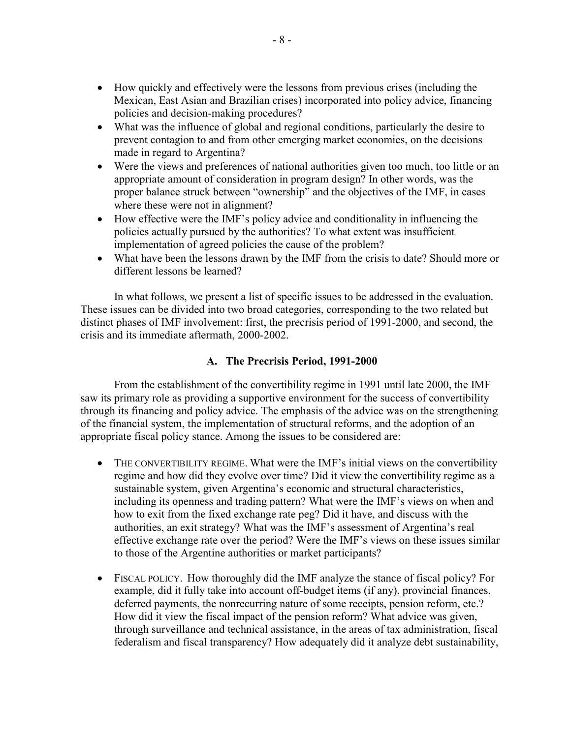- How quickly and effectively were the lessons from previous crises (including the Mexican, East Asian and Brazilian crises) incorporated into policy advice, financing policies and decision-making procedures?
- What was the influence of global and regional conditions, particularly the desire to prevent contagion to and from other emerging market economies, on the decisions made in regard to Argentina?
- Were the views and preferences of national authorities given too much, too little or an appropriate amount of consideration in program design? In other words, was the proper balance struck between "ownership" and the objectives of the IMF, in cases where these were not in alignment?
- How effective were the IMF's policy advice and conditionality in influencing the policies actually pursued by the authorities? To what extent was insufficient implementation of agreed policies the cause of the problem?
- What have been the lessons drawn by the IMF from the crisis to date? Should more or different lessons be learned?

 In what follows, we present a list of specific issues to be addressed in the evaluation. These issues can be divided into two broad categories, corresponding to the two related but distinct phases of IMF involvement: first, the precrisis period of 1991-2000, and second, the crisis and its immediate aftermath, 2000-2002.

# **A. The Precrisis Period, 1991-2000**

 From the establishment of the convertibility regime in 1991 until late 2000, the IMF saw its primary role as providing a supportive environment for the success of convertibility through its financing and policy advice. The emphasis of the advice was on the strengthening of the financial system, the implementation of structural reforms, and the adoption of an appropriate fiscal policy stance. Among the issues to be considered are:

- THE CONVERTIBILITY REGIME. What were the IMF's initial views on the convertibility regime and how did they evolve over time? Did it view the convertibility regime as a sustainable system, given Argentina's economic and structural characteristics, including its openness and trading pattern? What were the IMF's views on when and how to exit from the fixed exchange rate peg? Did it have, and discuss with the authorities, an exit strategy? What was the IMF's assessment of Argentina's real effective exchange rate over the period? Were the IMF's views on these issues similar to those of the Argentine authorities or market participants?
- FISCAL POLICY. How thoroughly did the IMF analyze the stance of fiscal policy? For example, did it fully take into account off-budget items (if any), provincial finances, deferred payments, the nonrecurring nature of some receipts, pension reform, etc.? How did it view the fiscal impact of the pension reform? What advice was given, through surveillance and technical assistance, in the areas of tax administration, fiscal federalism and fiscal transparency? How adequately did it analyze debt sustainability,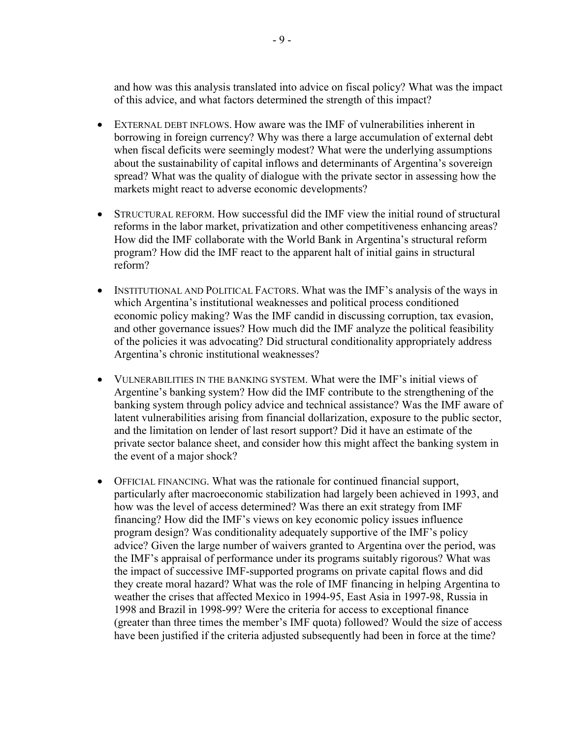and how was this analysis translated into advice on fiscal policy? What was the impact of this advice, and what factors determined the strength of this impact?

- EXTERNAL DEBT INFLOWS. How aware was the IMF of vulnerabilities inherent in borrowing in foreign currency? Why was there a large accumulation of external debt when fiscal deficits were seemingly modest? What were the underlying assumptions about the sustainability of capital inflows and determinants of Argentina's sovereign spread? What was the quality of dialogue with the private sector in assessing how the markets might react to adverse economic developments?
- STRUCTURAL REFORM. How successful did the IMF view the initial round of structural reforms in the labor market, privatization and other competitiveness enhancing areas? How did the IMF collaborate with the World Bank in Argentina's structural reform program? How did the IMF react to the apparent halt of initial gains in structural reform?
- INSTITUTIONAL AND POLITICAL FACTORS. What was the IMF's analysis of the ways in which Argentina's institutional weaknesses and political process conditioned economic policy making? Was the IMF candid in discussing corruption, tax evasion, and other governance issues? How much did the IMF analyze the political feasibility of the policies it was advocating? Did structural conditionality appropriately address Argentina's chronic institutional weaknesses?
- VULNERABILITIES IN THE BANKING SYSTEM. What were the IMF's initial views of Argentine's banking system? How did the IMF contribute to the strengthening of the banking system through policy advice and technical assistance? Was the IMF aware of latent vulnerabilities arising from financial dollarization, exposure to the public sector, and the limitation on lender of last resort support? Did it have an estimate of the private sector balance sheet, and consider how this might affect the banking system in the event of a major shock?
- OFFICIAL FINANCING. What was the rationale for continued financial support, particularly after macroeconomic stabilization had largely been achieved in 1993, and how was the level of access determined? Was there an exit strategy from IMF financing? How did the IMF's views on key economic policy issues influence program design? Was conditionality adequately supportive of the IMF's policy advice? Given the large number of waivers granted to Argentina over the period, was the IMF's appraisal of performance under its programs suitably rigorous? What was the impact of successive IMF-supported programs on private capital flows and did they create moral hazard? What was the role of IMF financing in helping Argentina to weather the crises that affected Mexico in 1994-95, East Asia in 1997-98, Russia in 1998 and Brazil in 1998-99? Were the criteria for access to exceptional finance (greater than three times the member's IMF quota) followed? Would the size of access have been justified if the criteria adjusted subsequently had been in force at the time?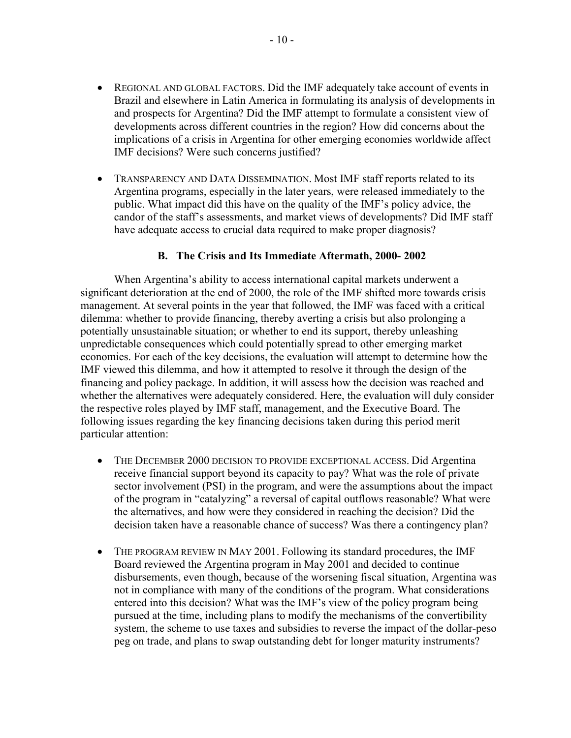- REGIONAL AND GLOBAL FACTORS. Did the IMF adequately take account of events in Brazil and elsewhere in Latin America in formulating its analysis of developments in and prospects for Argentina? Did the IMF attempt to formulate a consistent view of developments across different countries in the region? How did concerns about the implications of a crisis in Argentina for other emerging economies worldwide affect IMF decisions? Were such concerns justified?
- TRANSPARENCY AND DATA DISSEMINATION. Most IMF staff reports related to its Argentina programs, especially in the later years, were released immediately to the public. What impact did this have on the quality of the IMF's policy advice, the candor of the staff's assessments, and market views of developments? Did IMF staff have adequate access to crucial data required to make proper diagnosis?

# **B. The Crisis and Its Immediate Aftermath, 2000- 2002**

When Argentina's ability to access international capital markets underwent a significant deterioration at the end of 2000, the role of the IMF shifted more towards crisis management. At several points in the year that followed, the IMF was faced with a critical dilemma: whether to provide financing, thereby averting a crisis but also prolonging a potentially unsustainable situation; or whether to end its support, thereby unleashing unpredictable consequences which could potentially spread to other emerging market economies. For each of the key decisions, the evaluation will attempt to determine how the IMF viewed this dilemma, and how it attempted to resolve it through the design of the financing and policy package. In addition, it will assess how the decision was reached and whether the alternatives were adequately considered. Here, the evaluation will duly consider the respective roles played by IMF staff, management, and the Executive Board. The following issues regarding the key financing decisions taken during this period merit particular attention:

- THE DECEMBER 2000 DECISION TO PROVIDE EXCEPTIONAL ACCESS. Did Argentina receive financial support beyond its capacity to pay? What was the role of private sector involvement (PSI) in the program, and were the assumptions about the impact of the program in "catalyzing" a reversal of capital outflows reasonable? What were the alternatives, and how were they considered in reaching the decision? Did the decision taken have a reasonable chance of success? Was there a contingency plan?
- THE PROGRAM REVIEW IN MAY 2001. Following its standard procedures, the IMF Board reviewed the Argentina program in May 2001 and decided to continue disbursements, even though, because of the worsening fiscal situation, Argentina was not in compliance with many of the conditions of the program. What considerations entered into this decision? What was the IMF's view of the policy program being pursued at the time, including plans to modify the mechanisms of the convertibility system, the scheme to use taxes and subsidies to reverse the impact of the dollar-peso peg on trade, and plans to swap outstanding debt for longer maturity instruments?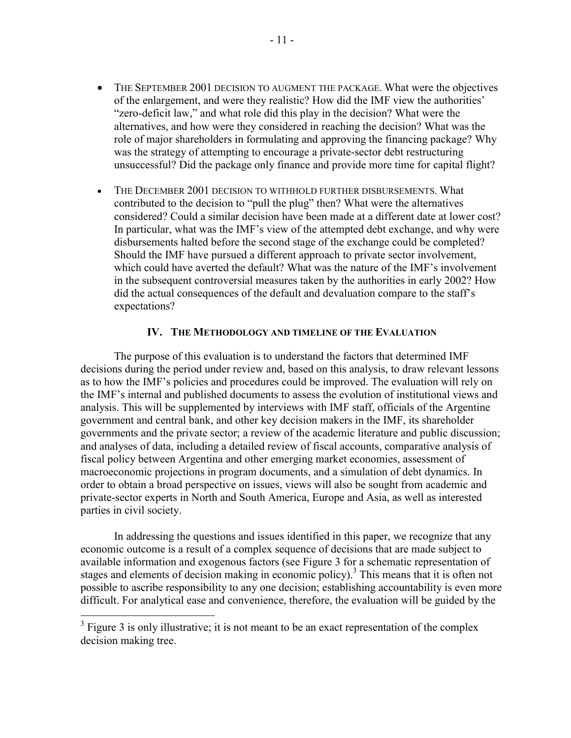- THE SEPTEMBER 2001 DECISION TO AUGMENT THE PACKAGE. What were the objectives of the enlargement, and were they realistic? How did the IMF view the authorities' "zero-deficit law," and what role did this play in the decision? What were the alternatives, and how were they considered in reaching the decision? What was the role of major shareholders in formulating and approving the financing package? Why was the strategy of attempting to encourage a private-sector debt restructuring unsuccessful? Did the package only finance and provide more time for capital flight?
- THE DECEMBER 2001 DECISION TO WITHHOLD FURTHER DISBURSEMENTS. What contributed to the decision to "pull the plug" then? What were the alternatives considered? Could a similar decision have been made at a different date at lower cost? In particular, what was the IMF's view of the attempted debt exchange, and why were disbursements halted before the second stage of the exchange could be completed? Should the IMF have pursued a different approach to private sector involvement, which could have averted the default? What was the nature of the IMF's involvement in the subsequent controversial measures taken by the authorities in early 2002? How did the actual consequences of the default and devaluation compare to the staff's expectations?

# **IV. THE METHODOLOGY AND TIMELINE OF THE EVALUATION**

The purpose of this evaluation is to understand the factors that determined IMF decisions during the period under review and, based on this analysis, to draw relevant lessons as to how the IMF's policies and procedures could be improved. The evaluation will rely on the IMF's internal and published documents to assess the evolution of institutional views and analysis. This will be supplemented by interviews with IMF staff, officials of the Argentine government and central bank, and other key decision makers in the IMF, its shareholder governments and the private sector; a review of the academic literature and public discussion; and analyses of data, including a detailed review of fiscal accounts, comparative analysis of fiscal policy between Argentina and other emerging market economies, assessment of macroeconomic projections in program documents, and a simulation of debt dynamics. In order to obtain a broad perspective on issues, views will also be sought from academic and private-sector experts in North and South America, Europe and Asia, as well as interested parties in civil society.

In addressing the questions and issues identified in this paper, we recognize that any economic outcome is a result of a complex sequence of decisions that are made subject to available information and exogenous factors (see Figure 3 for a schematic representation of stages and elements of decision making in economic policy).<sup>3</sup> This means that it is often not possible to ascribe responsibility to any one decision; establishing accountability is even more difficult. For analytical ease and convenience, therefore, the evaluation will be guided by the

 $\overline{a}$ 

 $3$  Figure 3 is only illustrative; it is not meant to be an exact representation of the complex decision making tree.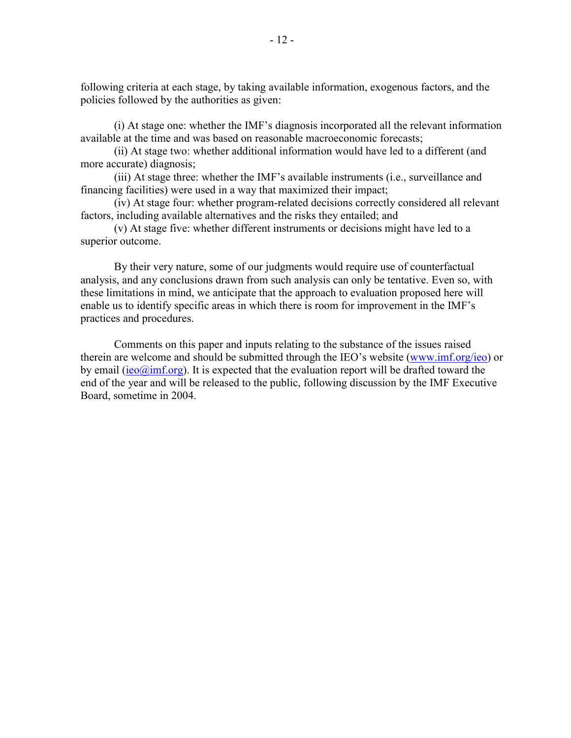following criteria at each stage, by taking available information, exogenous factors, and the policies followed by the authorities as given:

(i) At stage one: whether the IMF's diagnosis incorporated all the relevant information available at the time and was based on reasonable macroeconomic forecasts;

(ii) At stage two: whether additional information would have led to a different (and more accurate) diagnosis;

(iii) At stage three: whether the IMF's available instruments (i.e., surveillance and financing facilities) were used in a way that maximized their impact;

(iv) At stage four: whether program-related decisions correctly considered all relevant factors, including available alternatives and the risks they entailed; and

(v) At stage five: whether different instruments or decisions might have led to a superior outcome.

By their very nature, some of our judgments would require use of counterfactual analysis, and any conclusions drawn from such analysis can only be tentative. Even so, with these limitations in mind, we anticipate that the approach to evaluation proposed here will enable us to identify specific areas in which there is room for improvement in the IMF's practices and procedures.

Comments on this paper and inputs relating to the substance of the issues raised therein are welcome and should be submitted through the IEO's website (www.imf.org/ieo) or by email (ieo $\omega$ imf.org). It is expected that the evaluation report will be drafted toward the end of the year and will be released to the public, following discussion by the IMF Executive Board, sometime in 2004.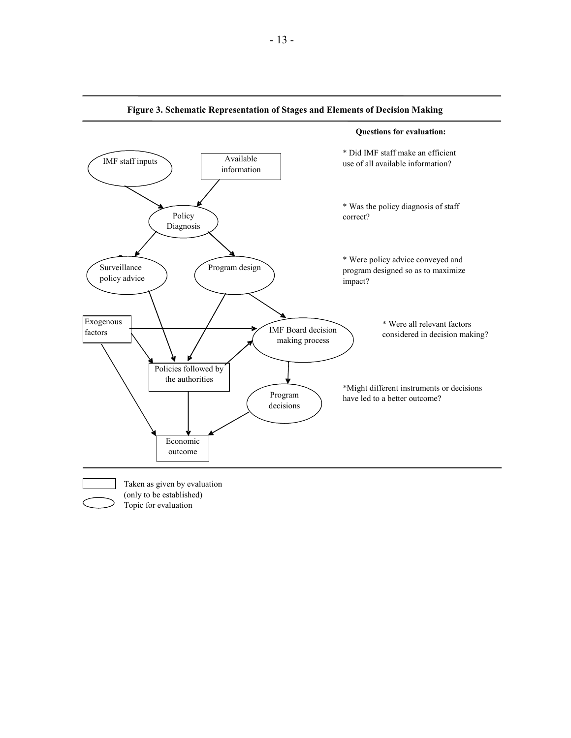

#### **Figure 3. Schematic Representation of Stages and Elements of Decision Making**

- 13 -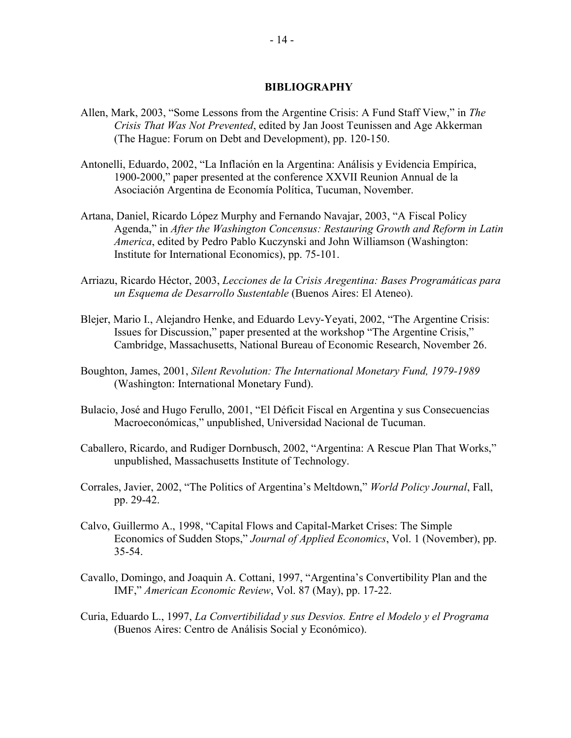#### **BIBLIOGRAPHY**

- Allen, Mark, 2003, "Some Lessons from the Argentine Crisis: A Fund Staff View," in *The Crisis That Was Not Prevented*, edited by Jan Joost Teunissen and Age Akkerman (The Hague: Forum on Debt and Development), pp. 120-150.
- Antonelli, Eduardo, 2002, "La Inflación en la Argentina: Análisis y Evidencia Empírica, 1900-2000," paper presented at the conference XXVII Reunion Annual de la Asociación Argentina de Economía Política, Tucuman, November.
- Artana, Daniel, Ricardo López Murphy and Fernando Navajar, 2003, "A Fiscal Policy Agenda," in *After the Washington Concensus: Restauring Growth and Reform in Latin America*, edited by Pedro Pablo Kuczynski and John Williamson (Washington: Institute for International Economics), pp. 75-101.
- Arriazu, Ricardo Héctor, 2003, *Lecciones de la Crisis Aregentina: Bases Programáticas para un Esquema de Desarrollo Sustentable* (Buenos Aires: El Ateneo).
- Blejer, Mario I., Alejandro Henke, and Eduardo Levy-Yeyati, 2002, "The Argentine Crisis: Issues for Discussion," paper presented at the workshop "The Argentine Crisis," Cambridge, Massachusetts, National Bureau of Economic Research, November 26.
- Boughton, James, 2001, *Silent Revolution: The International Monetary Fund, 1979-1989* (Washington: International Monetary Fund).
- Bulacio, José and Hugo Ferullo, 2001, "El Déficit Fiscal en Argentina y sus Consecuencias Macroeconómicas," unpublished, Universidad Nacional de Tucuman.
- Caballero, Ricardo, and Rudiger Dornbusch, 2002, "Argentina: A Rescue Plan That Works," unpublished, Massachusetts Institute of Technology.
- Corrales, Javier, 2002, "The Politics of Argentina's Meltdown," *World Policy Journal*, Fall, pp. 29-42.
- Calvo, Guillermo A., 1998, "Capital Flows and Capital-Market Crises: The Simple Economics of Sudden Stops," *Journal of Applied Economics*, Vol. 1 (November), pp. 35-54.
- Cavallo, Domingo, and Joaquin A. Cottani, 1997, "Argentina's Convertibility Plan and the IMF," *American Economic Review*, Vol. 87 (May), pp. 17-22.
- Curia, Eduardo L., 1997, *La Convertibilidad y sus Desvios. Entre el Modelo y el Programa*  (Buenos Aires: Centro de Análisis Social y Económico).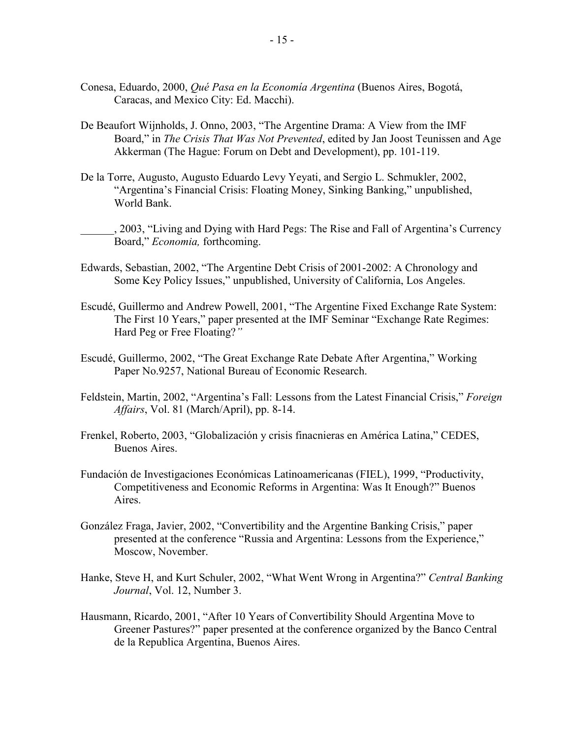- Conesa, Eduardo, 2000, *Qué Pasa en la Economía Argentina* (Buenos Aires, Bogotá, Caracas, and Mexico City: Ed. Macchi).
- De Beaufort Wijnholds, J. Onno, 2003, "The Argentine Drama: A View from the IMF Board," in *The Crisis That Was Not Prevented*, edited by Jan Joost Teunissen and Age Akkerman (The Hague: Forum on Debt and Development), pp. 101-119.
- De la Torre, Augusto, Augusto Eduardo Levy Yeyati, and Sergio L. Schmukler, 2002, "Argentina's Financial Crisis: Floating Money, Sinking Banking," unpublished, World Bank.

\_\_\_\_\_\_, 2003, "Living and Dying with Hard Pegs: The Rise and Fall of Argentina's Currency Board," *Economia,* forthcoming.

- Edwards, Sebastian, 2002, "The Argentine Debt Crisis of 2001-2002: A Chronology and Some Key Policy Issues," unpublished, University of California, Los Angeles.
- Escudé, Guillermo and Andrew Powell, 2001, "The Argentine Fixed Exchange Rate System: The First 10 Years," paper presented at the IMF Seminar "Exchange Rate Regimes: Hard Peg or Free Floating?*"*
- Escudé, Guillermo, 2002, "The Great Exchange Rate Debate After Argentina," Working Paper No.9257, National Bureau of Economic Research.
- Feldstein, Martin, 2002, "Argentina's Fall: Lessons from the Latest Financial Crisis," *Foreign Affairs*, Vol. 81 (March/April), pp. 8-14.
- Frenkel, Roberto, 2003, "Globalización y crisis finacnieras en América Latina," CEDES, Buenos Aires.
- Fundación de Investigaciones Económicas Latinoamericanas (FIEL), 1999, "Productivity, Competitiveness and Economic Reforms in Argentina: Was It Enough?" Buenos Aires.
- González Fraga, Javier, 2002, "Convertibility and the Argentine Banking Crisis," paper presented at the conference "Russia and Argentina: Lessons from the Experience," Moscow, November.
- Hanke, Steve H, and Kurt Schuler, 2002, "What Went Wrong in Argentina?" *Central Banking Journal*, Vol. 12, Number 3.
- Hausmann, Ricardo, 2001, "After 10 Years of Convertibility Should Argentina Move to Greener Pastures?" paper presented at the conference organized by the Banco Central de la Republica Argentina, Buenos Aires.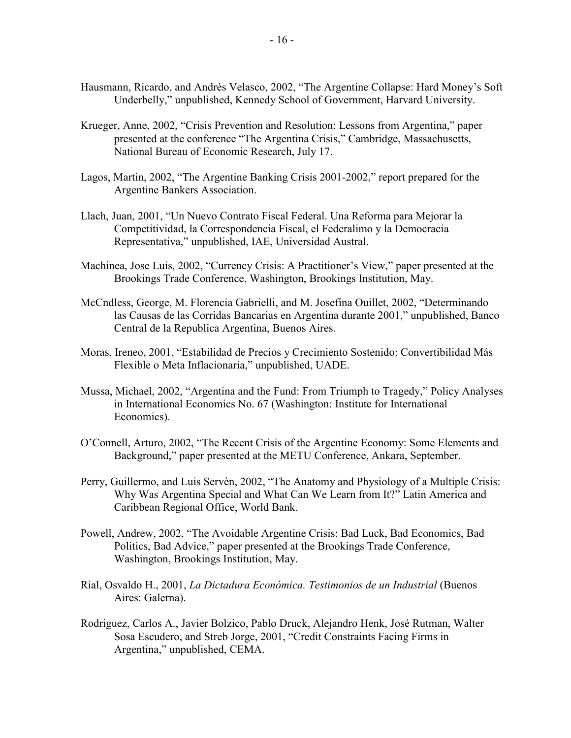- Hausmann, Ricardo, and Andrés Velasco, 2002, "The Argentine Collapse: Hard Money's Soft Underbelly," unpublished, Kennedy School of Government, Harvard University.
- Krueger, Anne, 2002, "Crisis Prevention and Resolution: Lessons from Argentina," paper presented at the conference "The Argentina Crisis," Cambridge, Massachusetts, National Bureau of Economic Research, July 17.
- Lagos, Martin, 2002, "The Argentine Banking Crisis 2001-2002," report prepared for the Argentine Bankers Association.
- Llach, Juan, 2001, "Un Nuevo Contrato Fiscal Federal. Una Reforma para Mejorar la Competitividad, la Correspondencia Fiscal, el Federalimo y la Democracia Representativa," unpublished, IAE, Universidad Austral.
- Machinea, Jose Luis, 2002, "Currency Crisis: A Practitioner's View," paper presented at the Brookings Trade Conference, Washington, Brookings Institution, May.
- McCndless, George, M. Florencia Gabrielli, and M. Josefina Ouillet, 2002, "Determinando las Causas de las Corridas Bancarias en Argentina durante 2001," unpublished, Banco Central de la Republica Argentina, Buenos Aires.
- Moras, Ireneo, 2001, "Estabilidad de Precios y Crecimiento Sostenido: Convertibilidad Más Flexible o Meta Inflacionaria," unpublished, UADE.
- Mussa, Michael, 2002, "Argentina and the Fund: From Triumph to Tragedy," Policy Analyses in International Economics No. 67 (Washington: Institute for International Economics).
- O'Connell, Arturo, 2002, "The Recent Crisis of the Argentine Economy: Some Elements and Background," paper presented at the METU Conference, Ankara, September.
- Perry, Guillermo, and Luis Servèn, 2002, "The Anatomy and Physiology of a Multiple Crisis: Why Was Argentina Special and What Can We Learn from It?" Latin America and Caribbean Regional Office, World Bank.
- Powell, Andrew, 2002, "The Avoidable Argentine Crisis: Bad Luck, Bad Economics, Bad Politics, Bad Advice," paper presented at the Brookings Trade Conference, Washington, Brookings Institution, May.
- Rial, Osvaldo H., 2001, *La Dictadura Económica. Testimonios de un Industrial* (Buenos Aires: Galerna).
- Rodriguez, Carlos A., Javier Bolzico, Pablo Druck, Alejandro Henk, José Rutman, Walter Sosa Escudero, and Streb Jorge, 2001, "Credit Constraints Facing Firms in Argentina," unpublished, CEMA.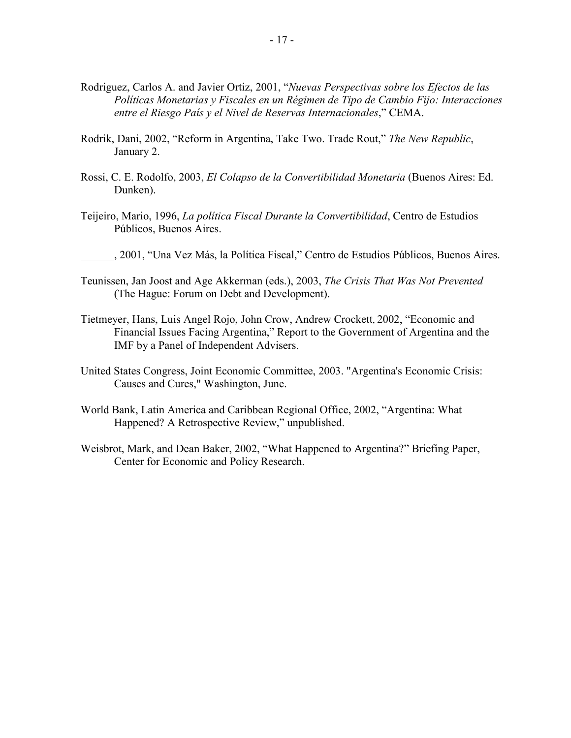- Rodriguez, Carlos A. and Javier Ortiz, 2001, "*Nuevas Perspectivas sobre los Efectos de las Políticas Monetarias y Fiscales en un Régimen de Tipo de Cambio Fijo: Interacciones entre el Riesgo País y el Nivel de Reservas Internacionales*," CEMA.
- Rodrik, Dani, 2002, "Reform in Argentina, Take Two. Trade Rout," *The New Republic*, January 2.
- Rossi, C. E. Rodolfo, 2003, *El Colapso de la Convertibilidad Monetaria* (Buenos Aires: Ed. Dunken).
- Teijeiro, Mario, 1996, *La política Fiscal Durante la Convertibilidad*, Centro de Estudios Públicos, Buenos Aires.
- , 2001, "Una Vez Más, la Política Fiscal," Centro de Estudios Públicos, Buenos Aires.
- Teunissen, Jan Joost and Age Akkerman (eds.), 2003, *The Crisis That Was Not Prevented* (The Hague: Forum on Debt and Development).
- Tietmeyer, Hans, Luis Angel Rojo, John Crow, Andrew Crockett, 2002, "Economic and Financial Issues Facing Argentina," Report to the Government of Argentina and the IMF by a Panel of Independent Advisers.
- United States Congress, Joint Economic Committee, 2003. "Argentina's Economic Crisis: Causes and Cures," Washington, June.
- World Bank, Latin America and Caribbean Regional Office, 2002, "Argentina: What Happened? A Retrospective Review," unpublished.
- Weisbrot, Mark, and Dean Baker, 2002, "What Happened to Argentina?" Briefing Paper, Center for Economic and Policy Research.